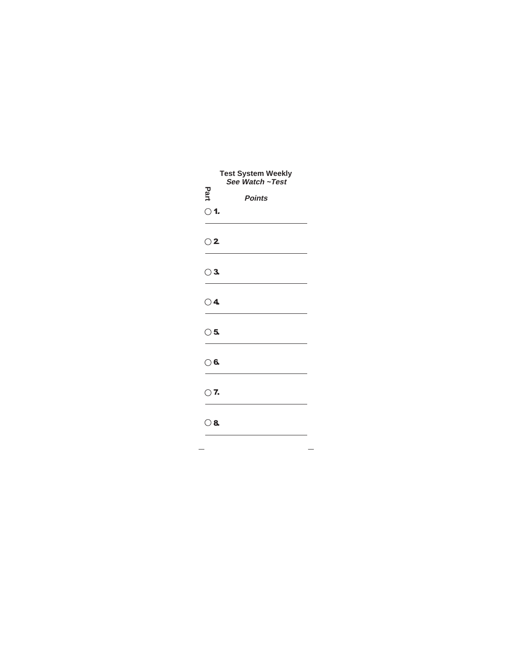| <b>Test System Weekly</b><br>See Watch ~Test |               |  |
|----------------------------------------------|---------------|--|
| Part                                         | <b>Points</b> |  |
| $\bigcirc$ 1.                                |               |  |
|                                              |               |  |
| $\bigcirc$ 2                                 |               |  |
|                                              |               |  |
| $\bigcirc$ 3.                                |               |  |
|                                              |               |  |
| $\bigcirc$ 4                                 |               |  |
| $\bigcirc$ 5.                                |               |  |
|                                              |               |  |
| $\bigcirc$ 6.                                |               |  |
|                                              |               |  |
| $\bigcirc$ 7.                                |               |  |
|                                              |               |  |
| $\circ$ 8.                                   |               |  |
|                                              |               |  |
|                                              |               |  |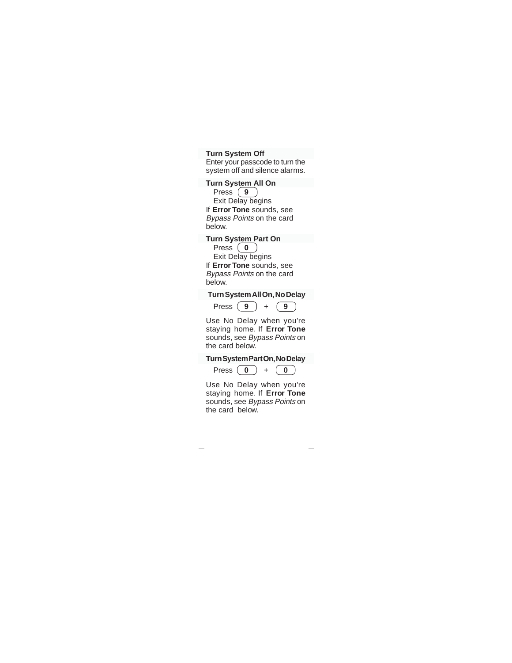#### **Turn System Off**

Enter your passcode to turn the system off and silence alarms.

#### **Turn System All On**

Press  $(9)$ Exit Delay begins If **Error Tone** sounds, see Bypass Points on the card below.

# **Turn System Part On**

Press  $\begin{pmatrix} 0 \end{pmatrix}$ Exit Delay begins If **Error Tone** sounds, see Bypass Points on the card below.

# **Turn System All On, No Delay**

$$
Press \left( 9 \right) + \left( 9 \right)
$$

Use No Delay when you're staying home. If **Error Tone** sounds, see Bypass Points on the card below.

# **Turn System Part On, No Delay**

Press  $\begin{pmatrix} 0 \end{pmatrix} + \begin{pmatrix} 0 \end{pmatrix}$ 

Use No Delay when you're staying home. If **Error Tone** sounds, see Bypass Points on the card below.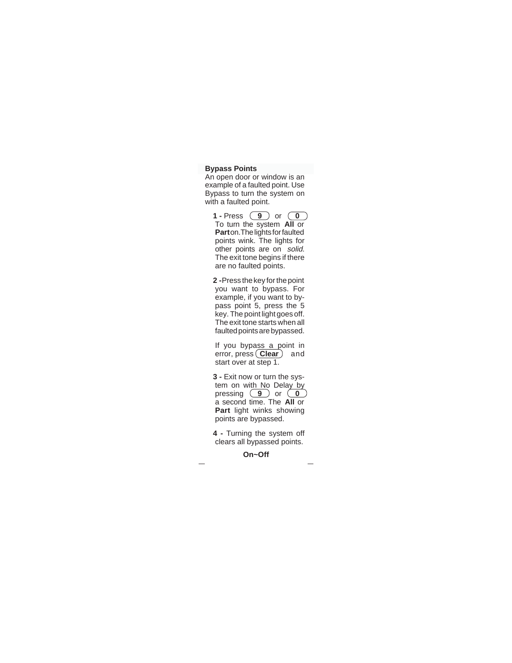#### **Bypass Points**

An open door or window is an example of a faulted point. Use Bypass to turn the system on with a faulted point.

**1 -** Press **9** or **0** To turn the system **All** or **Part** on.The lights for faulted points wink. The lights for other points are on solid. The exit tone begins if there are no faulted points.

**2 -** Press the key for the point you want to bypass. For example, if you want to bypass point 5, press the 5 key. The point light goes off. The exit tone starts when all faulted points are bypassed.

If you bypass a point in error, press **Clear** and start over at step 1.

**3 -** Exit now or turn the system on with No Delay by pressing **9** or **0** a second time. The **All** or **Part** light winks showing points are bypassed.

**4 -** Turning the system off clears all bypassed points.

**On~Off**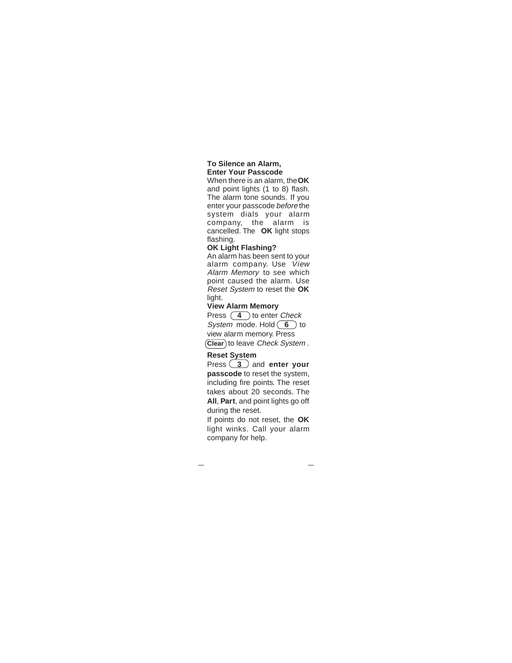#### **To Silence an Alarm, Enter Your Passcode**

When there is an alarm, the **OK** and point lights (1 to 8) flash. The alarm tone sounds. If you enter your passcode before the system dials your alarm company, the alarm is cancelled. The **OK** light stops flashing.

# **OK Light Flashing?**

An alarm has been sent to your alarm company. Use View Alarm Memory to see which point caused the alarm. Use Reset System to reset the **OK** light.

# **View Alarm Memory**

Press **4** to enter *Check* System mode. Hold **6** to view alarm memory. Press **Clear**) to leave Check System.

# **Reset System**

Press **3** and **enter your passcode** to reset the system, including fire points. The reset takes about 20 seconds. The **All**, **Part**, and point lights go off during the reset.

If points do not reset, the **OK** light winks. Call your alarm company for help.

 $\overline{\phantom{0}}$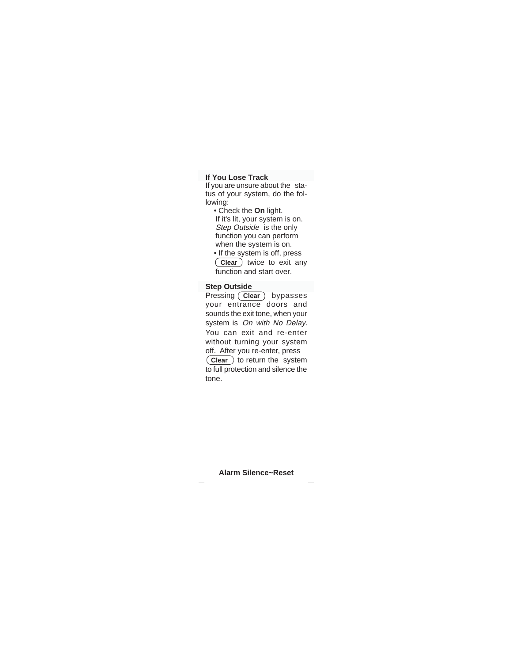# **If You Lose Track**

If you are unsure about the status of your system, do the following:

- Check the **On** light. If it's lit, your system is on. Step Outside is the only function you can perform when the system is on.
- If the system is off, press **Clear** twice to exit any function and start over.

#### **Step Outside**

Pressing (Clear) bypasses your entrance doors and sounds the exit tone, when your system is On with No Delay. You can exit and re-enter without turning your system off. After you re-enter, press **Clear** to return the system to full protection and silence the tone.

**Alarm Silence~Reset**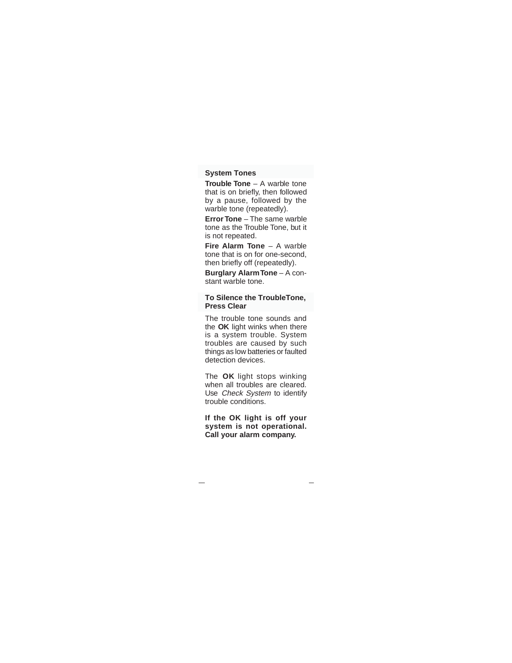# **System Tones**

**Trouble Tone** – A warble tone that is on briefly, then followed by a pause, followed by the warble tone (repeatedly).

**Error Tone** – The same warble tone as the Trouble Tone, but it is not repeated.

**Fire Alarm Tone** – A warble tone that is on for one-second, then briefly off (repeatedly).

**Burglary Alarm Tone** – A constant warble tone.

#### **To Silence the TroubleTone, Press Clear**

The trouble tone sounds and the **OK** light winks when there is a system trouble. System troubles are caused by such things as low batteries or faulted detection devices.

The **OK** light stops winking when all troubles are cleared. Use Check System to identify trouble conditions.

**If the OK light is off your system is not operational. Call your alarm company.**

 $\overline{\phantom{0}}$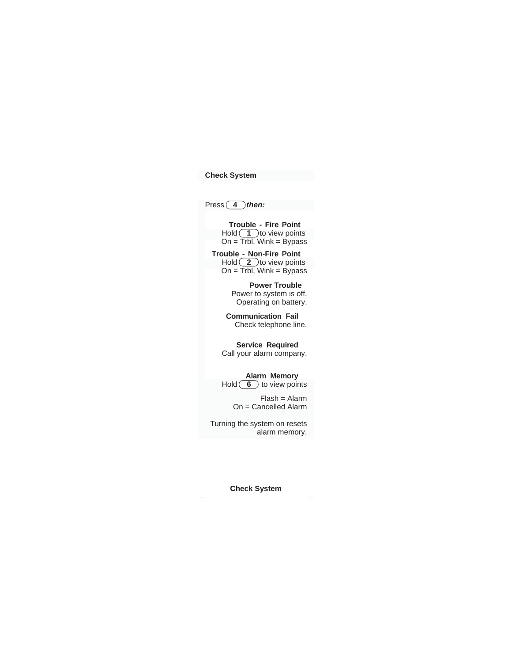# **Check System**

Press **4** then:

**Trouble - Fire Point**   $H$ old  $(1)$ to view points On = Trbl, Wink = Bypass

**Trouble - Non-Fire Point**  Hold  $(2)$  to view points  $On = \overline{Trbl}$ , Wink = Bypass

> **Power Trouble**  Power to system is off. Operating on battery.

**Communication Fail**  Check telephone line.

**Service Required**  Call your alarm company.

# **Alarm Memory**

Hold **6** to view points

Flash = Alarm On = Cancelled Alarm

Turning the system on resets alarm memory.

**Check System**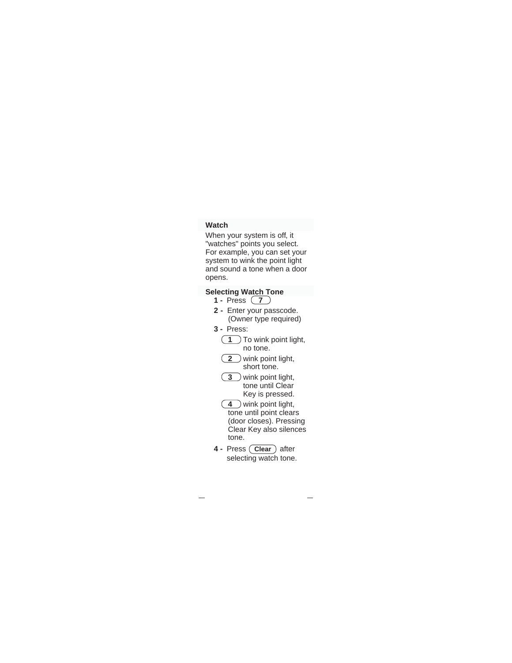# **Watch**

When your system is off, it "watches" points you select. For example, you can set your system to wink the point light and sound a tone when a door opens.

# **Selecting Watch Tone**

- **1** Press **7**
- **2** Enter your passcode. (Owner type required)
- **3** Press:
	- **1** To wink point light, no tone.
- **2** wink point light, short tone.
- **3** wink point light, tone until Clear Key is pressed.
- **4** wink point light, tone until point clears (door closes). Pressing Clear Key also silences tone.
- **4 Press** (Clear) after selecting watch tone.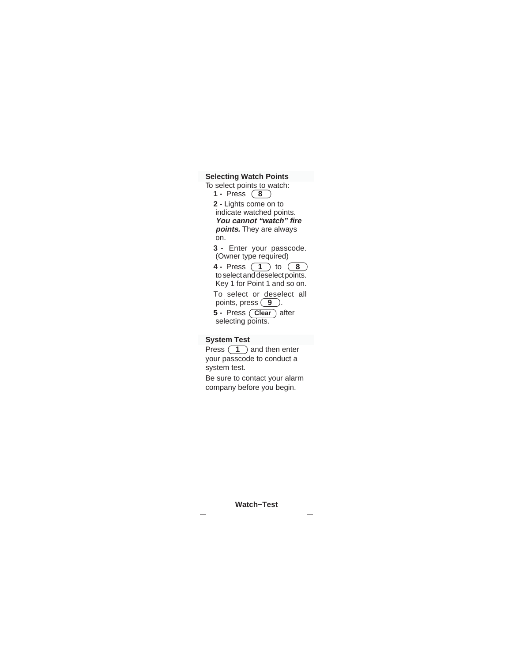**Selecting Watch Points**

To select points to watch: **1 -** Press **8 2 -** Lights come on to indicate watched points. **You cannot "watch" fire points.** They are always on. **3 -** Enter your passcode.

(Owner type required) **4 -** Press **1** to **8**

to select and deselect points. Key 1 for Point 1 and so on. To select or deselect all points, press **9**.

**5 - Press** (Clear) after selecting points.

#### **System Test**

Press  $\boxed{1}$  and then enter your passcode to conduct a system test.

Be sure to contact your alarm company before you begin.

**Watch~Test**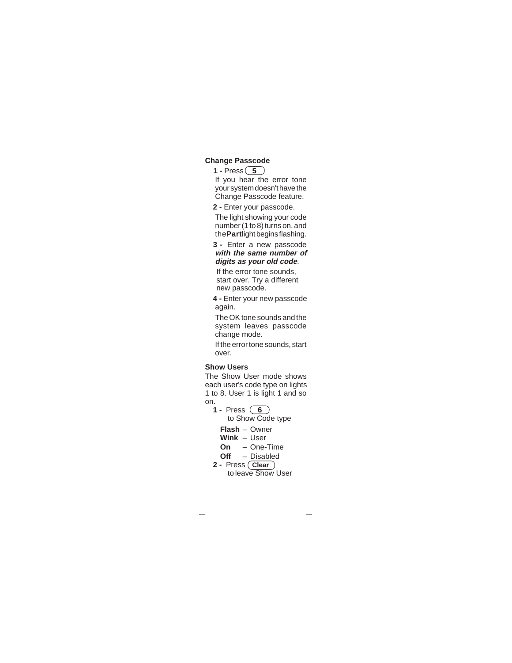#### **Change Passcode**

**1 - Press**  $\boxed{5}$ 

If you hear the error tone your system doesn't have the Change Passcode feature.

**2 -** Enter your passcode.

The light showing your code number (1 to 8) turns on, and the**Part**light begins flashing.

**3 -** Enter a new passcode **with the same number of digits as your old code**.

If the error tone sounds, start over. Try a different new passcode.

**4 -** Enter your new passcode again.

The OK tone sounds and the system leaves passcode change mode.

If the error tone sounds, start over.

#### **Show Users**

The Show User mode shows each user's code type on lights 1 to 8. User 1 is light 1 and so on.

- **1** Press **6**
	- to Show Code type
	- **Flash** Owner
	- **Wink** User
	- **On** One-Time
	- **Off** Disabled
- **2** Press **Clear** to leave Show User
-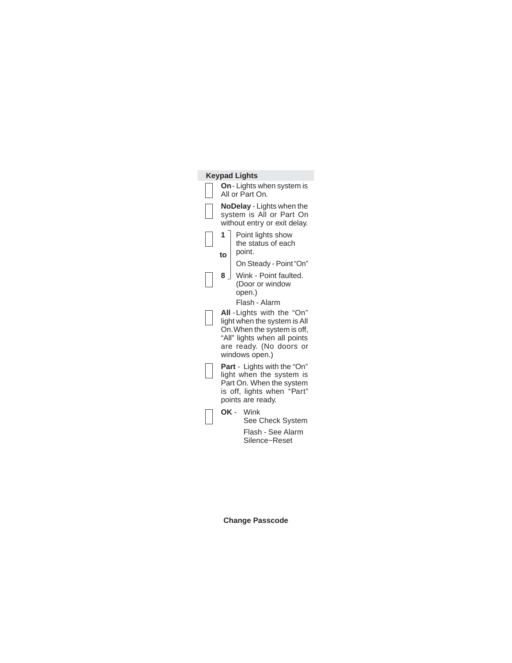# **Keypad Lights On**- Lights when system is All or Part On. **NoDelay** - Lights when the system is All or Part On without entry or exit delay. **1** Point lights show the status of each point. On Steady - Point "On" **8** Wink - Point faulted. (Door or window open.) Flash - Alarm **All** -Lights with the "On" light when the system is All On. When the system is off, "All" lights when all points are ready. (No doors or windows open.) **Part** - Lights with the "On" light when the system is Part On. When the system is off, lights when "Part" points are ready. **OK** - Wink See Check System Flash - See Alarm Silence~Reset **to**

**Change Passcode**